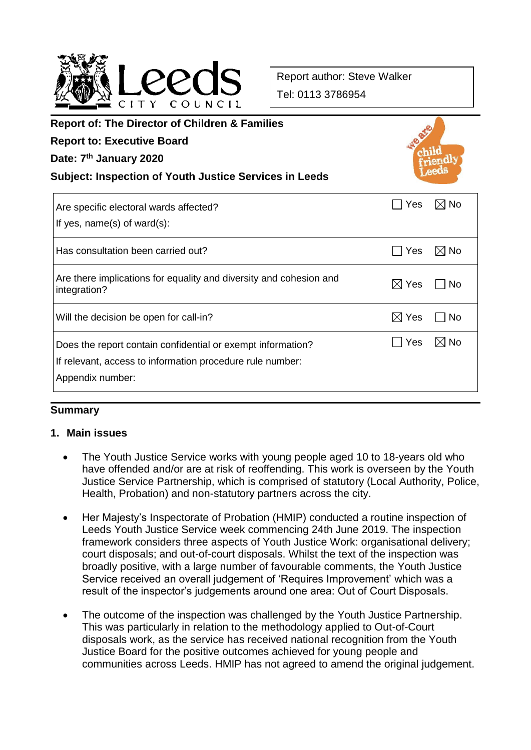

Report author: Steve Walker Tel: 0113 3786954

| <b>Report of: The Director of Children &amp; Families</b><br><b>Report to: Executive Board</b><br>Date: 7 <sup>th</sup> January 2020<br><b>Subject: Inspection of Youth Justice Services in Leeds</b> |                        |
|-------------------------------------------------------------------------------------------------------------------------------------------------------------------------------------------------------|------------------------|
| Are specific electoral wards affected?<br>If yes, $name(s)$ of ward $(s)$ :                                                                                                                           | $\boxtimes$ No<br>Yes  |
| Has consultation been carried out?                                                                                                                                                                    | Yes<br>$\boxtimes$ No  |
| Are there implications for equality and diversity and cohesion and<br>integration?                                                                                                                    | $\boxtimes$ Yes<br>No. |
| Will the decision be open for call-in?                                                                                                                                                                | $\boxtimes$ Yes<br>No. |
| Does the report contain confidential or exempt information?<br>If relevant, access to information procedure rule number:<br>Appendix number:                                                          | $\boxtimes$ No<br>Yes  |

### **Summary**

### **1. Main issues**

- The Youth Justice Service works with young people aged 10 to 18-years old who have offended and/or are at risk of reoffending. This work is overseen by the Youth Justice Service Partnership, which is comprised of statutory (Local Authority, Police, Health, Probation) and non-statutory partners across the city.
- Her Majesty's Inspectorate of Probation (HMIP) conducted a routine inspection of Leeds Youth Justice Service week commencing 24th June 2019. The inspection framework considers three aspects of Youth Justice Work: organisational delivery; court disposals; and out-of-court disposals. Whilst the text of the inspection was broadly positive, with a large number of favourable comments, the Youth Justice Service received an overall judgement of 'Requires Improvement' which was a result of the inspector's judgements around one area: Out of Court Disposals.
- The outcome of the inspection was challenged by the Youth Justice Partnership. This was particularly in relation to the methodology applied to Out-of-Court disposals work, as the service has received national recognition from the Youth Justice Board for the positive outcomes achieved for young people and communities across Leeds. HMIP has not agreed to amend the original judgement.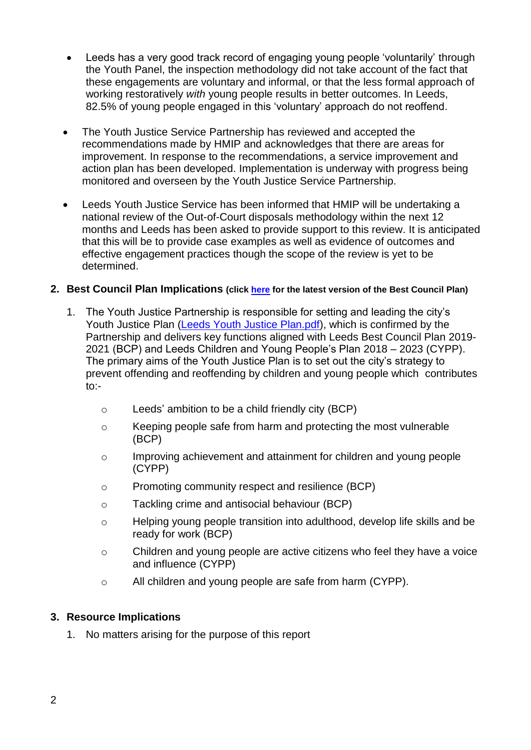- Leeds has a very good track record of engaging young people 'voluntarily' through the Youth Panel, the inspection methodology did not take account of the fact that these engagements are voluntary and informal, or that the less formal approach of working restoratively *with* young people results in better outcomes. In Leeds, 82.5% of young people engaged in this 'voluntary' approach do not reoffend.
- The Youth Justice Service Partnership has reviewed and accepted the recommendations made by HMIP and acknowledges that there are areas for improvement. In response to the recommendations, a service improvement and action plan has been developed. Implementation is underway with progress being monitored and overseen by the Youth Justice Service Partnership.
- Leeds Youth Justice Service has been informed that HMIP will be undertaking a national review of the Out-of-Court disposals methodology within the next 12 months and Leeds has been asked to provide support to this review. It is anticipated that this will be to provide case examples as well as evidence of outcomes and effective engagement practices though the scope of the review is yet to be determined.

### **2. Best Council Plan Implications (click [here](https://www.leeds.gov.uk/your-council/plans-and-strategies/council-plans) for the latest version of the Best Council Plan)**

- 1. The Youth Justice Partnership is responsible for setting and leading the city's Youth Justice Plan [\(Leeds Youth Justice Plan.pdf\)](https://www.leeds.gov.uk/docs/Leeds%20Youth%20Justice%20Plan%202018-19.pdf), which is confirmed by the Partnership and delivers key functions aligned with Leeds Best Council Plan 2019- 2021 (BCP) and Leeds Children and Young People's Plan 2018 – 2023 (CYPP). The primary aims of the Youth Justice Plan is to set out the city's strategy to prevent offending and reoffending by children and young people which contributes  $to:$ 
	- o Leeds' ambition to be a child friendly city (BCP)
	- o Keeping people safe from harm and protecting the most vulnerable (BCP)
	- o Improving achievement and attainment for children and young people (CYPP)
	- o Promoting community respect and resilience (BCP)
	- o Tackling crime and antisocial behaviour (BCP)
	- o Helping young people transition into adulthood, develop life skills and be ready for work (BCP)
	- o Children and young people are active citizens who feel they have a voice and influence (CYPP)
	- o All children and young people are safe from harm (CYPP).

## **3. Resource Implications**

1. No matters arising for the purpose of this report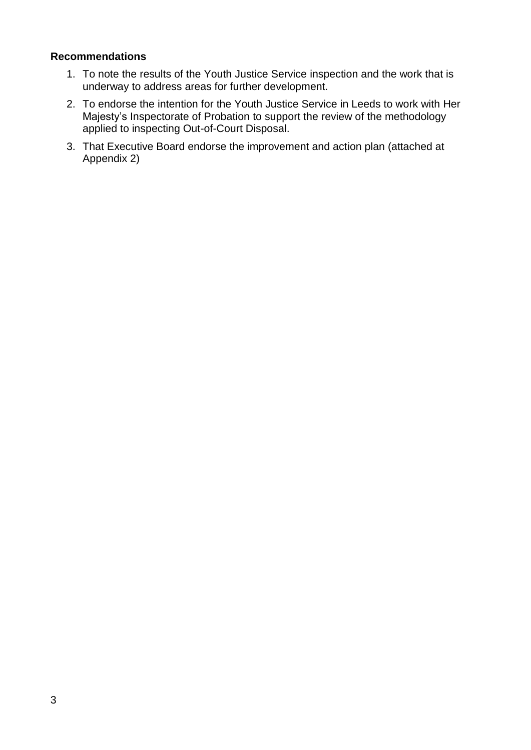### **Recommendations**

- 1. To note the results of the Youth Justice Service inspection and the work that is underway to address areas for further development.
- 2. To endorse the intention for the Youth Justice Service in Leeds to work with Her Majesty's Inspectorate of Probation to support the review of the methodology applied to inspecting Out-of-Court Disposal.
- 3. That Executive Board endorse the improvement and action plan (attached at Appendix 2)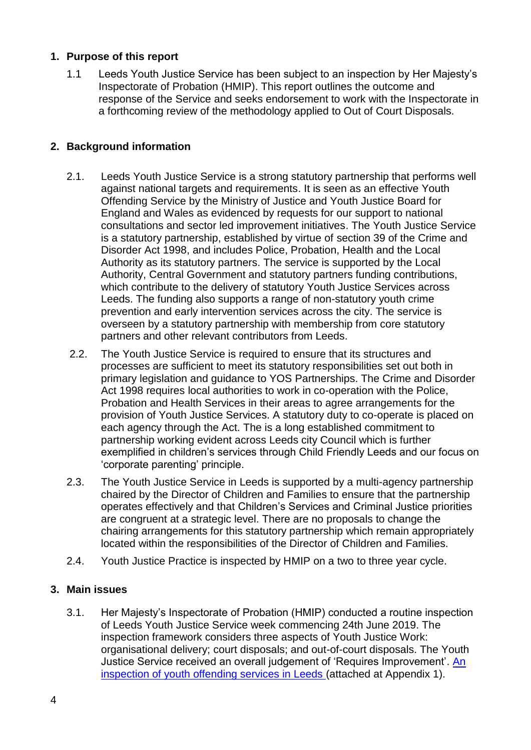## **1. Purpose of this report**

1.1 Leeds Youth Justice Service has been subject to an inspection by Her Majesty's Inspectorate of Probation (HMIP). This report outlines the outcome and response of the Service and seeks endorsement to work with the Inspectorate in a forthcoming review of the methodology applied to Out of Court Disposals.

## **2. Background information**

- 2.1. Leeds Youth Justice Service is a strong statutory partnership that performs well against national targets and requirements. It is seen as an effective Youth Offending Service by the Ministry of Justice and Youth Justice Board for England and Wales as evidenced by requests for our support to national consultations and sector led improvement initiatives. The Youth Justice Service is a statutory partnership, established by virtue of section 39 of the Crime and Disorder Act 1998, and includes Police, Probation, Health and the Local Authority as its statutory partners. The service is supported by the Local Authority, Central Government and statutory partners funding contributions, which contribute to the delivery of statutory Youth Justice Services across Leeds. The funding also supports a range of non-statutory youth crime prevention and early intervention services across the city. The service is overseen by a statutory partnership with membership from core statutory partners and other relevant contributors from Leeds.
- 2.2. The Youth Justice Service is required to ensure that its structures and processes are sufficient to meet its statutory responsibilities set out both in primary legislation and guidance to YOS Partnerships. The Crime and Disorder Act 1998 requires local authorities to work in co-operation with the Police, Probation and Health Services in their areas to agree arrangements for the provision of Youth Justice Services. A statutory duty to co-operate is placed on each agency through the Act. The is a long established commitment to partnership working evident across Leeds city Council which is further exemplified in children's services through Child Friendly Leeds and our focus on 'corporate parenting' principle.
- 2.3. The Youth Justice Service in Leeds is supported by a multi-agency partnership chaired by the Director of Children and Families to ensure that the partnership operates effectively and that Children's Services and Criminal Justice priorities are congruent at a strategic level. There are no proposals to change the chairing arrangements for this statutory partnership which remain appropriately located within the responsibilities of the Director of Children and Families.
- 2.4. Youth Justice Practice is inspected by HMIP on a two to three year cycle.

## **3. Main issues**

3.1. Her Majesty's Inspectorate of Probation (HMIP) conducted a routine inspection of Leeds Youth Justice Service week commencing 24th June 2019. The inspection framework considers three aspects of Youth Justice Work: organisational delivery; court disposals; and out-of-court disposals. The Youth Justice Service received an overall judgement of 'Requires Improvement'. [An](https://www.justiceinspectorates.gov.uk/hmiprobation/inspections/leeds/)  [inspection of youth offending services in Leeds](https://www.justiceinspectorates.gov.uk/hmiprobation/inspections/leeds/) (attached at Appendix 1).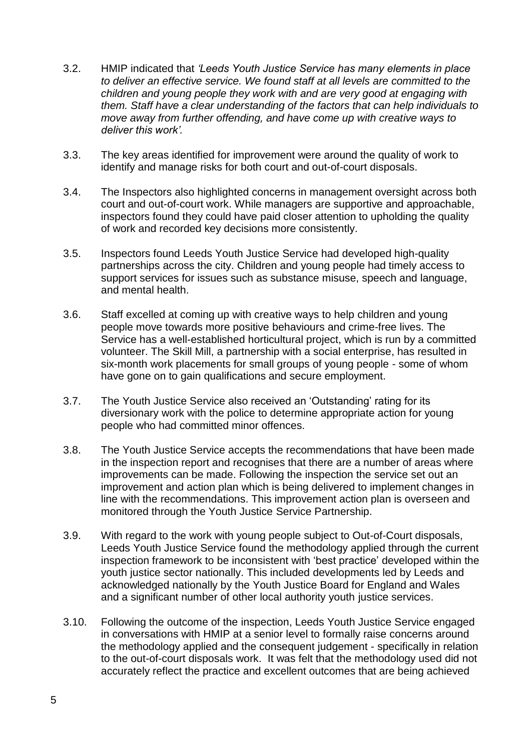- 3.2. HMIP indicated that *'Leeds Youth Justice Service has many elements in place to deliver an effective service. We found staff at all levels are committed to the children and young people they work with and are very good at engaging with them. Staff have a clear understanding of the factors that can help individuals to move away from further offending, and have come up with creative ways to deliver this work'.*
- 3.3. The key areas identified for improvement were around the quality of work to identify and manage risks for both court and out-of-court disposals.
- 3.4. The Inspectors also highlighted concerns in management oversight across both court and out-of-court work. While managers are supportive and approachable, inspectors found they could have paid closer attention to upholding the quality of work and recorded key decisions more consistently.
- 3.5. Inspectors found Leeds Youth Justice Service had developed high-quality partnerships across the city. Children and young people had timely access to support services for issues such as substance misuse, speech and language, and mental health.
- 3.6. Staff excelled at coming up with creative ways to help children and young people move towards more positive behaviours and crime-free lives. The Service has a well-established horticultural project, which is run by a committed volunteer. The Skill Mill, a partnership with a social enterprise, has resulted in six-month work placements for small groups of young people - some of whom have gone on to gain qualifications and secure employment.
- 3.7. The Youth Justice Service also received an 'Outstanding' rating for its diversionary work with the police to determine appropriate action for young people who had committed minor offences.
- 3.8. The Youth Justice Service accepts the recommendations that have been made in the inspection report and recognises that there are a number of areas where improvements can be made. Following the inspection the service set out an improvement and action plan which is being delivered to implement changes in line with the recommendations. This improvement action plan is overseen and monitored through the Youth Justice Service Partnership.
- 3.9. With regard to the work with young people subject to Out-of-Court disposals, Leeds Youth Justice Service found the methodology applied through the current inspection framework to be inconsistent with 'best practice' developed within the youth justice sector nationally. This included developments led by Leeds and acknowledged nationally by the Youth Justice Board for England and Wales and a significant number of other local authority youth justice services.
- 3.10. Following the outcome of the inspection, Leeds Youth Justice Service engaged in conversations with HMIP at a senior level to formally raise concerns around the methodology applied and the consequent judgement - specifically in relation to the out-of-court disposals work. It was felt that the methodology used did not accurately reflect the practice and excellent outcomes that are being achieved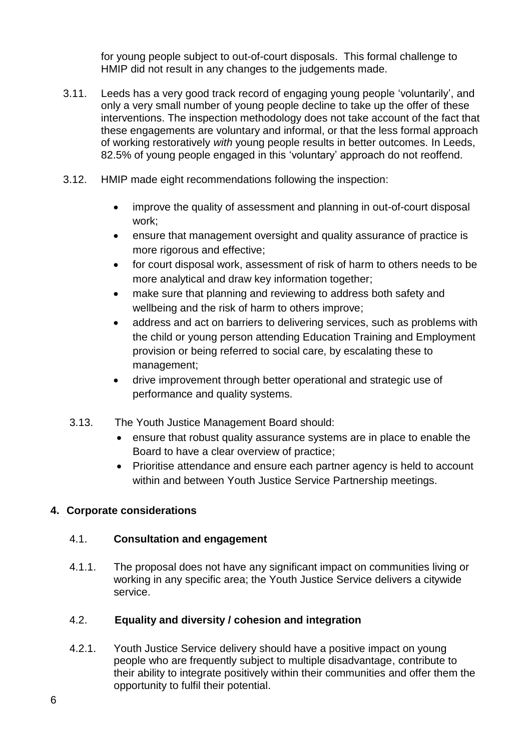for young people subject to out-of-court disposals. This formal challenge to HMIP did not result in any changes to the judgements made.

- 3.11. Leeds has a very good track record of engaging young people 'voluntarily', and only a very small number of young people decline to take up the offer of these interventions. The inspection methodology does not take account of the fact that these engagements are voluntary and informal, or that the less formal approach of working restoratively *with* young people results in better outcomes. In Leeds, 82.5% of young people engaged in this 'voluntary' approach do not reoffend.
- 3.12. HMIP made eight recommendations following the inspection:
	- improve the quality of assessment and planning in out-of-court disposal work;
	- ensure that management oversight and quality assurance of practice is more rigorous and effective;
	- for court disposal work, assessment of risk of harm to others needs to be more analytical and draw key information together;
	- make sure that planning and reviewing to address both safety and wellbeing and the risk of harm to others improve;
	- address and act on barriers to delivering services, such as problems with the child or young person attending Education Training and Employment provision or being referred to social care, by escalating these to management;
	- drive improvement through better operational and strategic use of performance and quality systems.
	- 3.13. The Youth Justice Management Board should:
		- ensure that robust quality assurance systems are in place to enable the Board to have a clear overview of practice;
		- Prioritise attendance and ensure each partner agency is held to account within and between Youth Justice Service Partnership meetings.

# **4. Corporate considerations**

# 4.1. **Consultation and engagement**

4.1.1. The proposal does not have any significant impact on communities living or working in any specific area; the Youth Justice Service delivers a citywide service.

# 4.2. **Equality and diversity / cohesion and integration**

4.2.1. Youth Justice Service delivery should have a positive impact on young people who are frequently subject to multiple disadvantage, contribute to their ability to integrate positively within their communities and offer them the opportunity to fulfil their potential.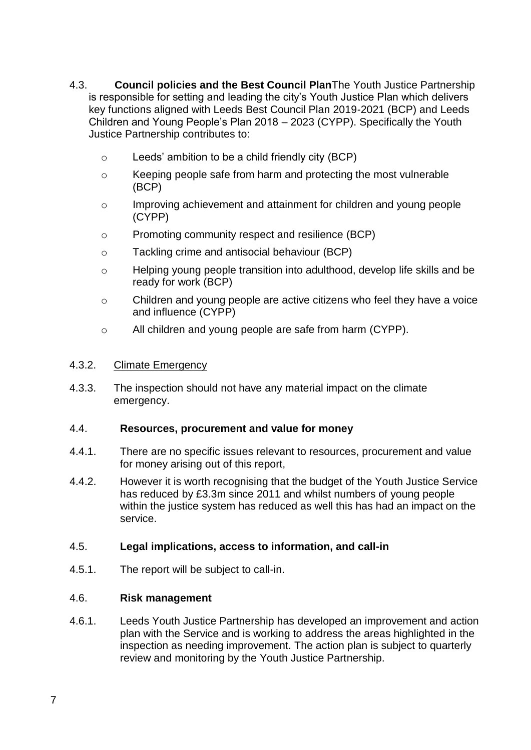- 4.3. **Council policies and the Best Council Plan**The Youth Justice Partnership is responsible for setting and leading the city's Youth Justice Plan which delivers key functions aligned with Leeds Best Council Plan 2019-2021 (BCP) and Leeds Children and Young People's Plan 2018 – 2023 (CYPP). Specifically the Youth Justice Partnership contributes to:
	- o Leeds' ambition to be a child friendly city (BCP)
	- $\circ$  Keeping people safe from harm and protecting the most vulnerable (BCP)
	- o Improving achievement and attainment for children and young people (CYPP)
	- o Promoting community respect and resilience (BCP)
	- o Tackling crime and antisocial behaviour (BCP)
	- o Helping young people transition into adulthood, develop life skills and be ready for work (BCP)
	- o Children and young people are active citizens who feel they have a voice and influence (CYPP)
	- o All children and young people are safe from harm (CYPP).

#### 4.3.2. Climate Emergency

4.3.3. The inspection should not have any material impact on the climate emergency.

### 4.4. **Resources, procurement and value for money**

- 4.4.1. There are no specific issues relevant to resources, procurement and value for money arising out of this report,
- 4.4.2. However it is worth recognising that the budget of the Youth Justice Service has reduced by £3.3m since 2011 and whilst numbers of young people within the justice system has reduced as well this has had an impact on the service.

### 4.5. **Legal implications, access to information, and call-in**

4.5.1. The report will be subject to call-in.

### 4.6. **Risk management**

4.6.1. Leeds Youth Justice Partnership has developed an improvement and action plan with the Service and is working to address the areas highlighted in the inspection as needing improvement. The action plan is subject to quarterly review and monitoring by the Youth Justice Partnership.